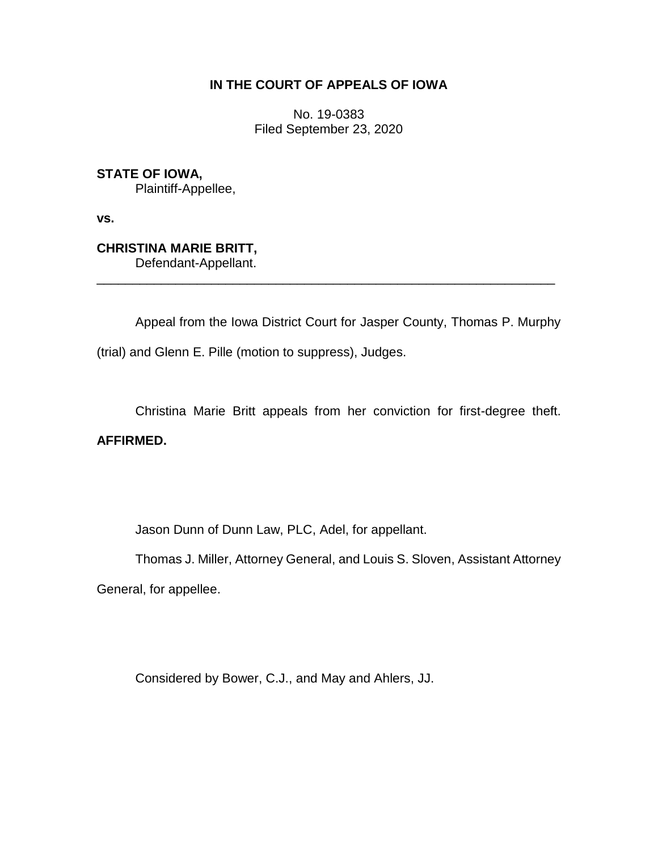## **IN THE COURT OF APPEALS OF IOWA**

No. 19-0383 Filed September 23, 2020

**STATE OF IOWA,** Plaintiff-Appellee,

**vs.**

**CHRISTINA MARIE BRITT,**

Defendant-Appellant. \_\_\_\_\_\_\_\_\_\_\_\_\_\_\_\_\_\_\_\_\_\_\_\_\_\_\_\_\_\_\_\_\_\_\_\_\_\_\_\_\_\_\_\_\_\_\_\_\_\_\_\_\_\_\_\_\_\_\_\_\_\_\_\_

Appeal from the Iowa District Court for Jasper County, Thomas P. Murphy (trial) and Glenn E. Pille (motion to suppress), Judges.

Christina Marie Britt appeals from her conviction for first-degree theft.

## **AFFIRMED.**

Jason Dunn of Dunn Law, PLC, Adel, for appellant.

Thomas J. Miller, Attorney General, and Louis S. Sloven, Assistant Attorney

General, for appellee.

Considered by Bower, C.J., and May and Ahlers, JJ.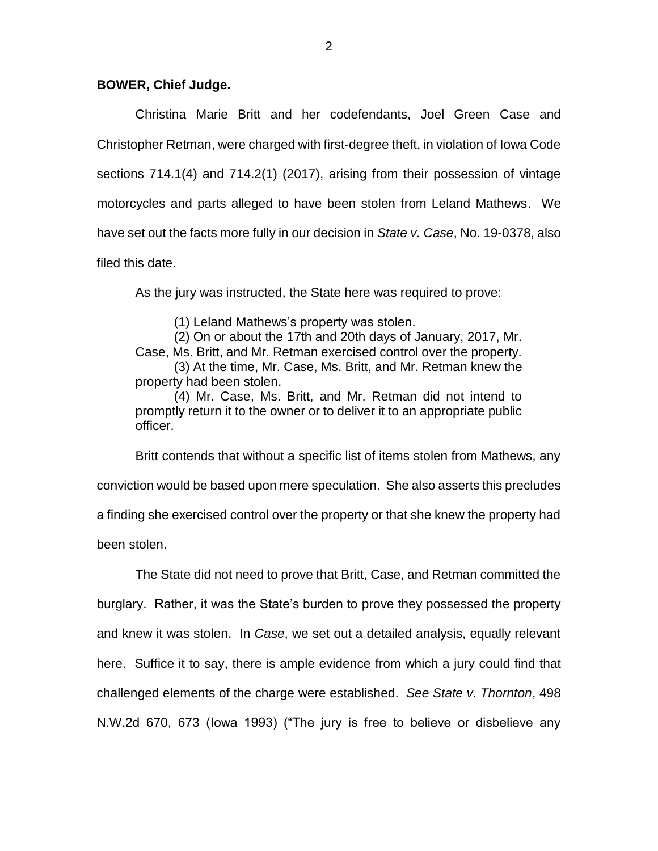## **BOWER, Chief Judge.**

Christina Marie Britt and her codefendants, Joel Green Case and Christopher Retman, were charged with first-degree theft, in violation of Iowa Code sections 714.1(4) and 714.2(1) (2017), arising from their possession of vintage motorcycles and parts alleged to have been stolen from Leland Mathews. We have set out the facts more fully in our decision in *State v. Case*, No. 19-0378, also filed this date.

As the jury was instructed, the State here was required to prove:

(1) Leland Mathews's property was stolen.

(2) On or about the 17th and 20th days of January, 2017, Mr. Case, Ms. Britt, and Mr. Retman exercised control over the property. (3) At the time, Mr. Case, Ms. Britt, and Mr. Retman knew the property had been stolen.

(4) Mr. Case, Ms. Britt, and Mr. Retman did not intend to promptly return it to the owner or to deliver it to an appropriate public officer.

Britt contends that without a specific list of items stolen from Mathews, any conviction would be based upon mere speculation. She also asserts this precludes a finding she exercised control over the property or that she knew the property had been stolen.

The State did not need to prove that Britt, Case, and Retman committed the burglary. Rather, it was the State's burden to prove they possessed the property and knew it was stolen. In *Case*, we set out a detailed analysis, equally relevant here. Suffice it to say, there is ample evidence from which a jury could find that challenged elements of the charge were established. *See State v. Thornton*, 498 N.W.2d 670, 673 (Iowa 1993) ("The jury is free to believe or disbelieve any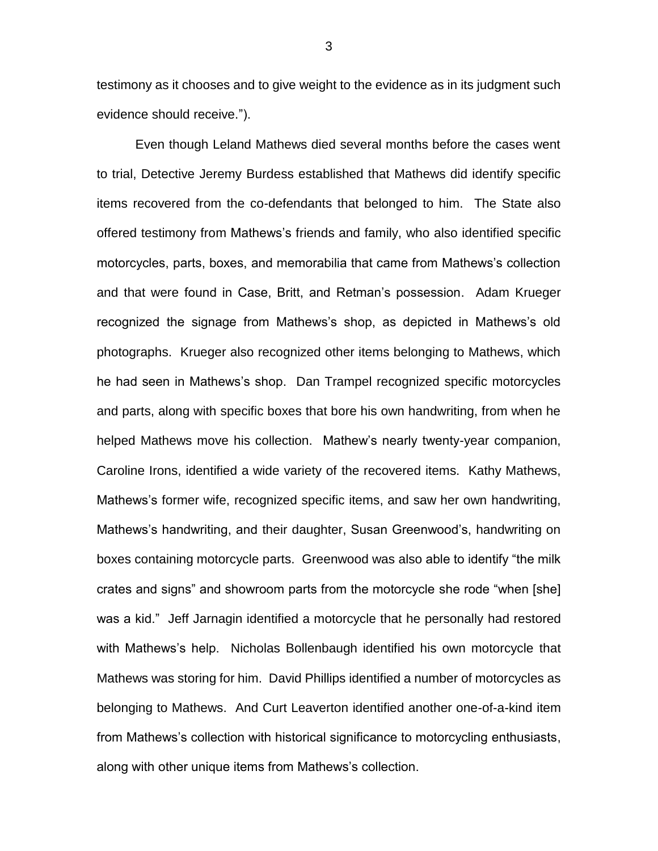testimony as it chooses and to give weight to the evidence as in its judgment such evidence should receive.").

Even though Leland Mathews died several months before the cases went to trial, Detective Jeremy Burdess established that Mathews did identify specific items recovered from the co-defendants that belonged to him. The State also offered testimony from Mathews's friends and family, who also identified specific motorcycles, parts, boxes, and memorabilia that came from Mathews's collection and that were found in Case, Britt, and Retman's possession. Adam Krueger recognized the signage from Mathews's shop, as depicted in Mathews's old photographs. Krueger also recognized other items belonging to Mathews, which he had seen in Mathews's shop. Dan Trampel recognized specific motorcycles and parts, along with specific boxes that bore his own handwriting, from when he helped Mathews move his collection. Mathew's nearly twenty-year companion, Caroline Irons, identified a wide variety of the recovered items. Kathy Mathews, Mathews's former wife, recognized specific items, and saw her own handwriting, Mathews's handwriting, and their daughter, Susan Greenwood's, handwriting on boxes containing motorcycle parts. Greenwood was also able to identify "the milk crates and signs" and showroom parts from the motorcycle she rode "when [she] was a kid." Jeff Jarnagin identified a motorcycle that he personally had restored with Mathews's help. Nicholas Bollenbaugh identified his own motorcycle that Mathews was storing for him. David Phillips identified a number of motorcycles as belonging to Mathews. And Curt Leaverton identified another one-of-a-kind item from Mathews's collection with historical significance to motorcycling enthusiasts, along with other unique items from Mathews's collection.